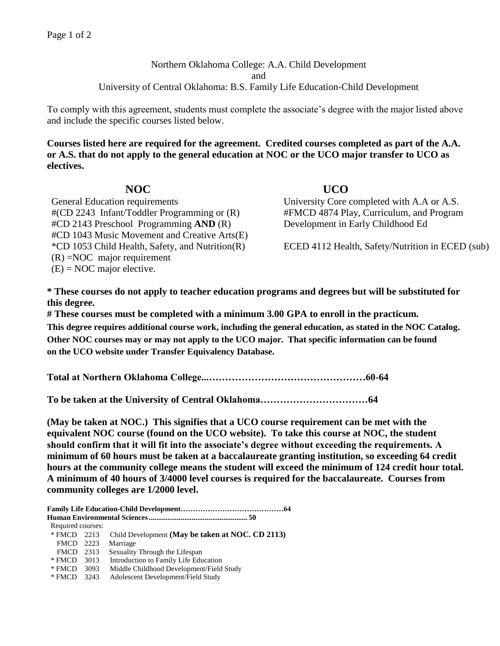## Northern Oklahoma College: A.A. Child Development and University of Central Oklahoma: B.S. Family Life Education-Child Development

To comply with this agreement, students must complete the associate's degree with the major listed above and include the specific courses listed below.

**Courses listed here are required for the agreement. Credited courses completed as part of the A.A. or A.S. that do not apply to the general education at NOC or the UCO major transfer to UCO as electives.**

General Education requirements University Core completed with A.A or A.S. #(CD 2243 Infant/Toddler Programming or (R) #CD 2143 Preschool Programming **AND** (R) #CD 1043 Music Movement and Creative Arts(E) (R) =NOC major requirement  $(E) = NOC$  major elective.

**NOC UCO**  #FMCD 4874 Play, Curriculum, and Program Development in Early Childhood Ed

\*CD 1053 Child Health, Safety, and Nutrition(R) ECED 4112 Health, Safety/Nutrition in ECED (sub)

**\* These courses do not apply to teacher education programs and degrees but will be substituted for this degree.**

**# These courses must be completed with a minimum 3.00 GPA to enroll in the practicum. This degree requires additional course work, including the general education, as stated in the NOC Catalog. Other NOC courses may or may not apply to the UCO major. That specific information can be found on the UCO website under Transfer Equivalency Database.**

**Total at Northern Oklahoma College...…………………………………………60-64**

**To be taken at the University of Central Oklahoma……………………………64**

**(May be taken at NOC.) This signifies that a UCO course requirement can be met with the equivalent NOC course (found on the UCO website). To take this course at NOC, the student should confirm that it will fit into the associate's degree without exceeding the requirements. A minimum of 60 hours must be taken at a baccalaureate granting institution, so exceeding 64 credit hours at the community college means the student will exceed the minimum of 124 credit hour total. A minimum of 40 hours of 3/4000 level courses is required for the baccalaureate. Courses from community colleges are 1/2000 level.**

| Required courses: |                                                              |
|-------------------|--------------------------------------------------------------|
|                   | * FMCD 2213 Child Development (May be taken at NOC. CD 2113) |
| FMCD 2223         | Marriage                                                     |
|                   | FMCD 2313 Sexuality Through the Lifespan                     |
|                   | * FMCD 3013 Introduction to Family Life Education            |
|                   | * FMCD 3093 Middle Childhood Development/Field Study         |
| * FMCD 3243       | Adolescent Development/Field Study                           |